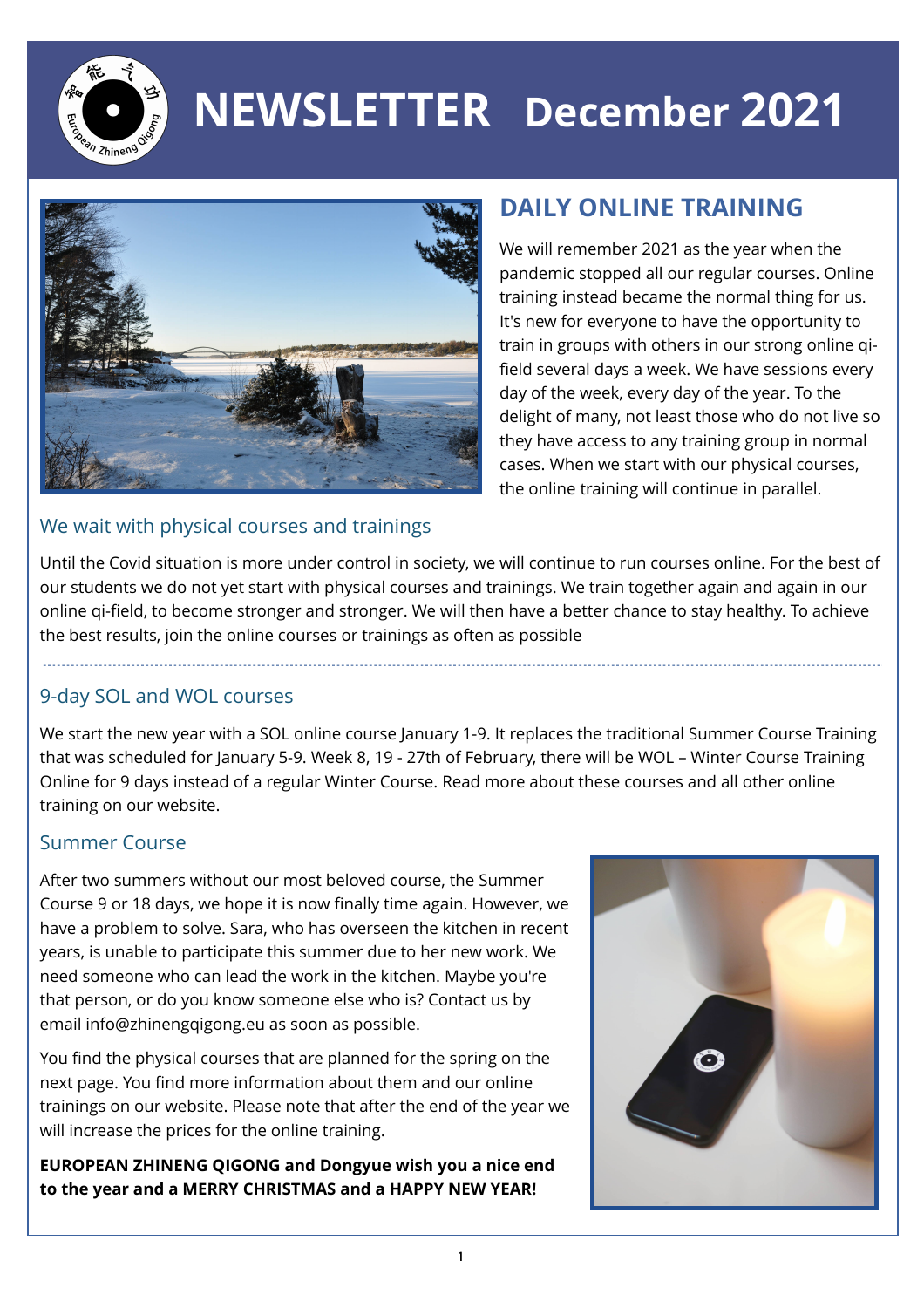

# **NEWSLETTER December 2021**



### **DAILY ONLINE TRAINING**

We will remember 2021 as the year when the pandemic stopped all our regular courses. Online training instead became the normal thing for us. It's new for everyone to have the opportunity to train in groups with others in our strong online qifield several days a week. We have sessions every day of the week, every day of the year. To the delight of many, not least those who do not live so they have access to any training group in normal cases. When we start with our physical courses, the online training will continue in parallel.

#### We wait with physical courses and trainings

Until the Covid situation is more under control in society, we will continue to run courses online. For the best of our students we do not yet start with physical courses and trainings. We train together again and again in our online qi-field, to become stronger and stronger. We will then have a better chance to stay healthy. To achieve the best results, join the online courses or trainings as often as possible

#### 9-day SOL and WOL courses

We start the new year with a SOL online course January 1-9. It replaces the traditional Summer Course Training that was scheduled for January 5-9. Week 8, 19 - 27th of February, there will be WOL – Winter Course Training Online for 9 days instead of a regular Winter Course. Read more about these courses and all other online training on our website.

#### Summer Course

After two summers without our most beloved course, the Summer Course 9 or 18 days, we hope it is now finally time again. However, we have a problem to solve. Sara, who has overseen the kitchen in recent years, is unable to participate this summer due to her new work. We need someone who can lead the work in the kitchen. Maybe you're that person, or do you know someone else who is? Contact us by email info@zhinengqigong.eu as soon as possible.

You find the physical courses that are planned for the spring on the next page. You find more information about them and our online trainings on our website. Please note that after the end of the year we will increase the prices for the online training.

**EUROPEAN ZHINENG QIGONG and Dongyue wish you a nice end to the year and a MERRY CHRISTMAS and a HAPPY NEW YEAR!**